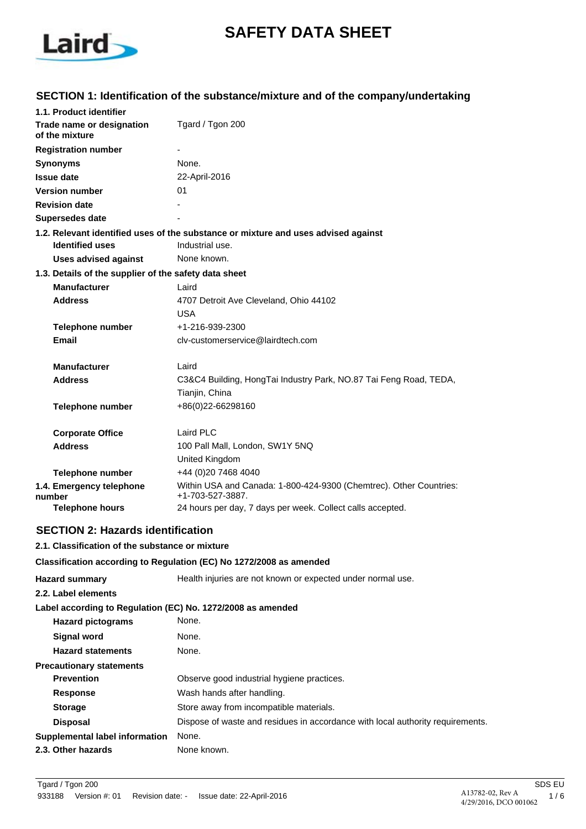

# **SAFETY DATA SHEET**

# **SECTION 1: Identification of the substance/mixture and of the company/undertaking**

| 1.1. Product identifier                               |                                                                                        |
|-------------------------------------------------------|----------------------------------------------------------------------------------------|
| Trade name or designation<br>of the mixture           | Tgard / Tgon 200                                                                       |
| <b>Registration number</b>                            |                                                                                        |
| <b>Synonyms</b>                                       | None.                                                                                  |
| <b>Issue date</b>                                     | 22-April-2016                                                                          |
| <b>Version number</b>                                 | 01                                                                                     |
| <b>Revision date</b>                                  |                                                                                        |
| Supersedes date                                       |                                                                                        |
|                                                       | 1.2. Relevant identified uses of the substance or mixture and uses advised against     |
| <b>Identified uses</b>                                | Industrial use.                                                                        |
| <b>Uses advised against</b>                           | None known.                                                                            |
| 1.3. Details of the supplier of the safety data sheet |                                                                                        |
| <b>Manufacturer</b>                                   | Laird                                                                                  |
| <b>Address</b>                                        | 4707 Detroit Ave Cleveland, Ohio 44102                                                 |
|                                                       | <b>USA</b>                                                                             |
| <b>Telephone number</b>                               | +1-216-939-2300                                                                        |
| <b>Email</b>                                          | cly-customerservice@lairdtech.com                                                      |
| <b>Manufacturer</b>                                   | Laird                                                                                  |
| <b>Address</b>                                        | C3&C4 Building, HongTai Industry Park, NO.87 Tai Feng Road, TEDA,<br>Tianjin, China    |
| <b>Telephone number</b>                               | +86(0)22-66298160                                                                      |
| <b>Corporate Office</b>                               | Laird PLC                                                                              |
| <b>Address</b>                                        | 100 Pall Mall, London, SW1Y 5NQ                                                        |
|                                                       | United Kingdom                                                                         |
| <b>Telephone number</b>                               | +44 (0)20 7468 4040                                                                    |
| 1.4. Emergency telephone<br>number                    | Within USA and Canada: 1-800-424-9300 (Chemtrec). Other Countries:<br>+1-703-527-3887. |
| <b>Telephone hours</b>                                | 24 hours per day, 7 days per week. Collect calls accepted.                             |

# **SECTION 2: Hazards identification**

### **2.1. Classification of the substance or mixture**

#### **Classification according to Regulation (EC) No 1272/2008 as amended**

| <b>Hazard summary</b>                                       | Health injuries are not known or expected under normal use.                    |
|-------------------------------------------------------------|--------------------------------------------------------------------------------|
| 2.2. Label elements                                         |                                                                                |
| Label according to Regulation (EC) No. 1272/2008 as amended |                                                                                |
| <b>Hazard pictograms</b>                                    | None.                                                                          |
| Signal word                                                 | None.                                                                          |
| <b>Hazard statements</b>                                    | None.                                                                          |
| <b>Precautionary statements</b>                             |                                                                                |
| <b>Prevention</b>                                           | Observe good industrial hygiene practices.                                     |
| <b>Response</b>                                             | Wash hands after handling.                                                     |
| <b>Storage</b>                                              | Store away from incompatible materials.                                        |
| <b>Disposal</b>                                             | Dispose of waste and residues in accordance with local authority requirements. |
| Supplemental label information                              | None.                                                                          |
| 2.3. Other hazards                                          | None known.                                                                    |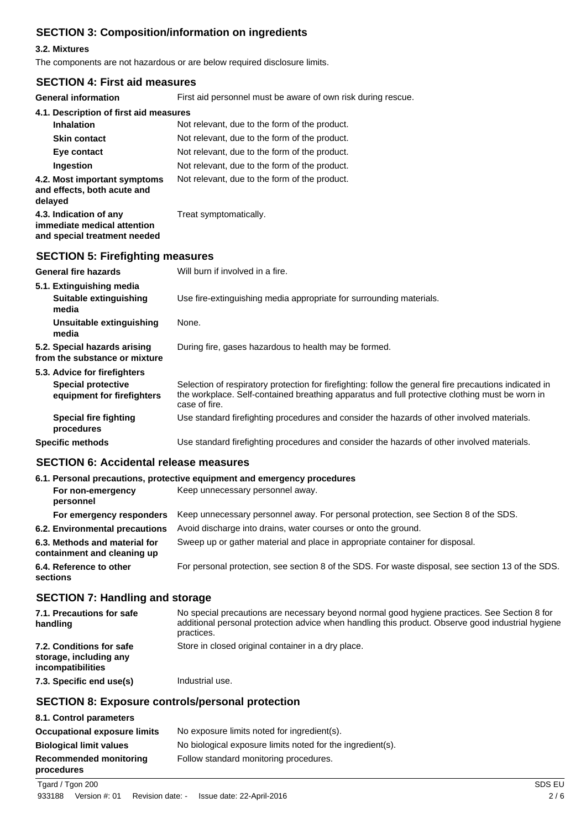# **SECTION 3: Composition/information on ingredients**

### **3.2. Mixtures**

The components are not hazardous or are below required disclosure limits.

### **SECTION 4: First aid measures**

**General information** First aid personnel must be aware of own risk during rescue.

| General Information                                                                   | First ald personnel must be aware or own risk during rescue. |
|---------------------------------------------------------------------------------------|--------------------------------------------------------------|
| 4.1. Description of first aid measures                                                |                                                              |
| <b>Inhalation</b>                                                                     | Not relevant, due to the form of the product.                |
| <b>Skin contact</b>                                                                   | Not relevant, due to the form of the product.                |
| Eye contact                                                                           | Not relevant, due to the form of the product.                |
| Ingestion                                                                             | Not relevant, due to the form of the product.                |
| 4.2. Most important symptoms<br>and effects, both acute and<br>delayed                | Not relevant, due to the form of the product.                |
| 4.3. Indication of any<br>immediate medical attention<br>and special treatment needed | Treat symptomatically.                                       |
| <b>SECTION 5: Firefighting measures</b>                                               |                                                              |
| <b>General fire hazards</b>                                                           | Will burn if involved in a fire.                             |

| 5.1. Extinguishing media<br>Suitable extinguishing<br>media                             | Use fire-extinguishing media appropriate for surrounding materials.                                                                                                                                                       |
|-----------------------------------------------------------------------------------------|---------------------------------------------------------------------------------------------------------------------------------------------------------------------------------------------------------------------------|
| Unsuitable extinguishing<br>media                                                       | None.                                                                                                                                                                                                                     |
| 5.2. Special hazards arising<br>from the substance or mixture                           | During fire, gases hazardous to health may be formed.                                                                                                                                                                     |
| 5.3. Advice for firefighters<br><b>Special protective</b><br>equipment for firefighters | Selection of respiratory protection for firefighting: follow the general fire precautions indicated in<br>the workplace. Self-contained breathing apparatus and full protective clothing must be worn in<br>case of fire. |
| Special fire fighting<br>procedures                                                     | Use standard firefighting procedures and consider the hazards of other involved materials.                                                                                                                                |
| <b>Specific methods</b>                                                                 | Use standard firefighting procedures and consider the hazards of other involved materials.                                                                                                                                |

### **SECTION 6: Accidental release measures**

| 6.1. Personal precautions, protective equipment and emergency procedures |                                                                                                   |  |
|--------------------------------------------------------------------------|---------------------------------------------------------------------------------------------------|--|
| For non-emergency                                                        | Keep unnecessary personnel away.                                                                  |  |
| For emergency responders                                                 | Keep unnecessary personnel away. For personal protection, see Section 8 of the SDS.               |  |
| 6.2. Environmental precautions                                           | Avoid discharge into drains, water courses or onto the ground.                                    |  |
| 6.3. Methods and material for<br>containment and cleaning up             | Sweep up or gather material and place in appropriate container for disposal.                      |  |
| 6.4. Reference to other                                                  | For personal protection, see section 8 of the SDS. For waste disposal, see section 13 of the SDS. |  |
|                                                                          |                                                                                                   |  |

## **SECTION 7: Handling and storage**

| 7.1. Precautions for safe<br>handling                                   | No special precautions are necessary beyond normal good hygiene practices. See Section 8 for<br>additional personal protection advice when handling this product. Observe good industrial hygiene<br>practices. |
|-------------------------------------------------------------------------|-----------------------------------------------------------------------------------------------------------------------------------------------------------------------------------------------------------------|
| 7.2. Conditions for safe<br>storage, including any<br>incompatibilities | Store in closed original container in a dry place.                                                                                                                                                              |
| 7.3. Specific end use(s)                                                | Industrial use.                                                                                                                                                                                                 |

## **SECTION 8: Exposure controls/personal protection**

| 8.1. Control parameters                     |                                                            |
|---------------------------------------------|------------------------------------------------------------|
| <b>Occupational exposure limits</b>         | No exposure limits noted for ingredient(s).                |
| <b>Biological limit values</b>              | No biological exposure limits noted for the ingredient(s). |
| <b>Recommended monitoring</b><br>procedures | Follow standard monitoring procedures.                     |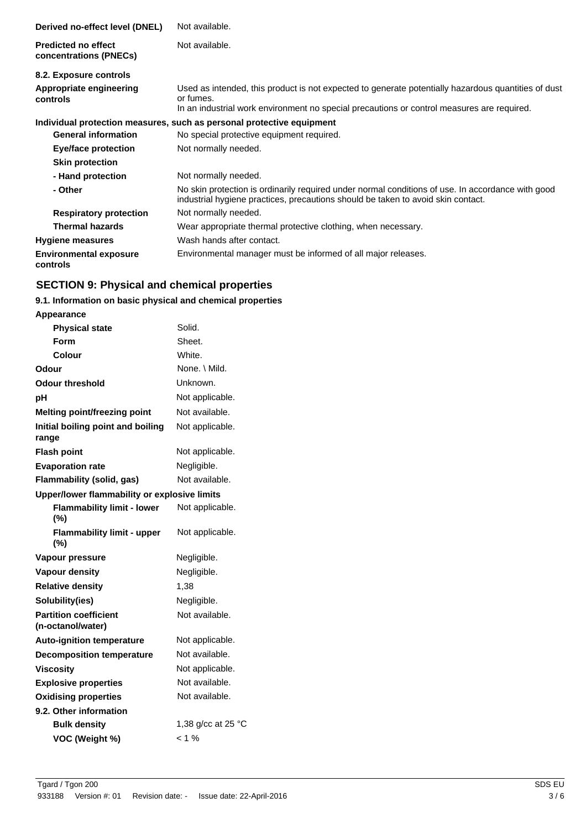| Derived no-effect level (DNEL)                       | Not available.                                                                                                                                                                                                 |
|------------------------------------------------------|----------------------------------------------------------------------------------------------------------------------------------------------------------------------------------------------------------------|
| <b>Predicted no effect</b><br>concentrations (PNECs) | Not available.                                                                                                                                                                                                 |
| 8.2. Exposure controls                               |                                                                                                                                                                                                                |
| Appropriate engineering<br>controls                  | Used as intended, this product is not expected to generate potentially hazardous quantities of dust<br>or fumes.<br>In an industrial work environment no special precautions or control measures are required. |
|                                                      |                                                                                                                                                                                                                |
|                                                      | Individual protection measures, such as personal protective equipment                                                                                                                                          |
| <b>General information</b>                           | No special protective equipment required.                                                                                                                                                                      |
| Eye/face protection                                  | Not normally needed.                                                                                                                                                                                           |
| <b>Skin protection</b>                               |                                                                                                                                                                                                                |
| - Hand protection                                    | Not normally needed.                                                                                                                                                                                           |
| - Other                                              | No skin protection is ordinarily required under normal conditions of use. In accordance with good<br>industrial hygiene practices, precautions should be taken to avoid skin contact.                          |
| <b>Respiratory protection</b>                        | Not normally needed.                                                                                                                                                                                           |
| <b>Thermal hazards</b>                               | Wear appropriate thermal protective clothing, when necessary.                                                                                                                                                  |
| <b>Hygiene measures</b>                              | Wash hands after contact.                                                                                                                                                                                      |
| <b>Environmental exposure</b><br>controls            | Environmental manager must be informed of all major releases.                                                                                                                                                  |

# **SECTION 9: Physical and chemical properties**

# **9.1. Information on basic physical and chemical properties**

| Appearance                                        |                              |
|---------------------------------------------------|------------------------------|
| <b>Physical state</b>                             | Solid.                       |
| Form                                              | Sheet.                       |
| Colour                                            | White.                       |
| Odour                                             | None, \ Mild.                |
| Odour threshold                                   | Unknown.                     |
| рH                                                | Not applicable.              |
| <b>Melting point/freezing point</b>               | Not available.               |
| Initial boiling point and boiling<br>range        | Not applicable.              |
| <b>Flash point</b>                                | Not applicable.              |
| <b>Evaporation rate</b>                           | Negligible.                  |
| Flammability (solid, gas)                         | Not available.               |
| Upper/lower flammability or explosive limits      |                              |
| <b>Flammability limit - lower</b><br>$(\%)$       | Not applicable.              |
|                                                   |                              |
| <b>Flammability limit - upper</b><br>$(\%)$       | Not applicable.              |
| Vapour pressure                                   | Negligible.                  |
| Vapour density                                    | Negligible.                  |
| <b>Relative density</b>                           | 1,38                         |
| Solubility(ies)                                   | Negligible.                  |
| <b>Partition coefficient</b><br>(n-octanol/water) | Not available.               |
| <b>Auto-ignition temperature</b>                  | Not applicable.              |
| <b>Decomposition temperature</b>                  | Not available.               |
| <b>Viscosity</b>                                  | Not applicable.              |
| <b>Explosive properties</b>                       | Not available.               |
| <b>Oxidising properties</b>                       | Not available.               |
| 9.2. Other information                            |                              |
| <b>Bulk density</b>                               | 1,38 g/cc at 25 $^{\circ}$ C |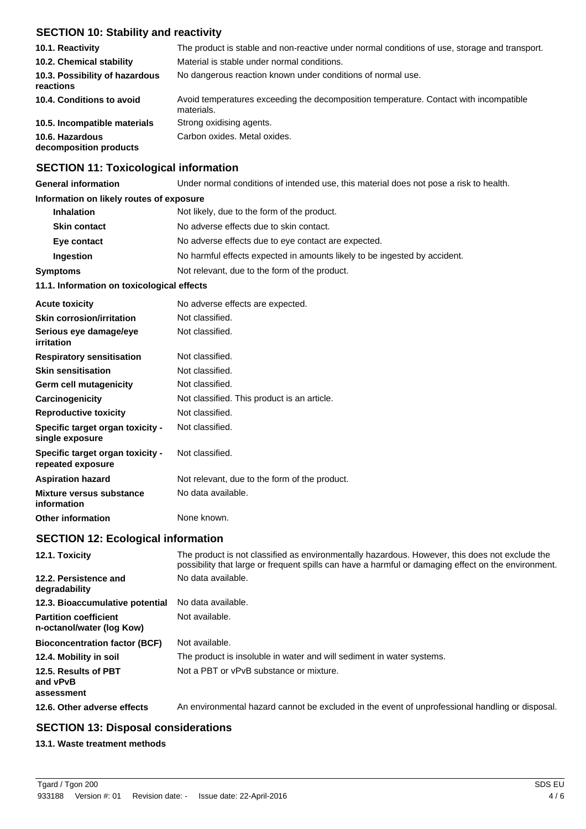# **SECTION 10: Stability and reactivity**

| 10.1. Reactivity                            | The product is stable and non-reactive under normal conditions of use, storage and transport.       |
|---------------------------------------------|-----------------------------------------------------------------------------------------------------|
| 10.2. Chemical stability                    | Material is stable under normal conditions.                                                         |
| 10.3. Possibility of hazardous<br>reactions | No dangerous reaction known under conditions of normal use.                                         |
| 10.4. Conditions to avoid                   | Avoid temperatures exceeding the decomposition temperature. Contact with incompatible<br>materials. |
| 10.5. Incompatible materials                | Strong oxidising agents.                                                                            |
| 10.6. Hazardous<br>decomposition products   | Carbon oxides. Metal oxides.                                                                        |

### **SECTION 11: Toxicological information**

**General information** Under normal conditions of intended use, this material does not pose a risk to health.

### **Information on likely routes of exposure**

| 11.1. Information on toxicological effects                       |                                                                           |  |
|------------------------------------------------------------------|---------------------------------------------------------------------------|--|
| Not relevant, due to the form of the product.<br><b>Symptoms</b> |                                                                           |  |
| Ingestion                                                        | No harmful effects expected in amounts likely to be ingested by accident. |  |
| Eye contact                                                      | No adverse effects due to eye contact are expected.                       |  |
| <b>Skin contact</b>                                              | No adverse effects due to skin contact.                                   |  |
| <b>Inhalation</b>                                                | Not likely, due to the form of the product.                               |  |

| <b>Acute toxicity</b>                                 | No adverse effects are expected.              |
|-------------------------------------------------------|-----------------------------------------------|
| <b>Skin corrosion/irritation</b>                      | Not classified.                               |
| Serious eye damage/eye<br>irritation                  | Not classified.                               |
| <b>Respiratory sensitisation</b>                      | Not classified.                               |
| <b>Skin sensitisation</b>                             | Not classified.                               |
| Germ cell mutagenicity                                | Not classified.                               |
| Carcinogenicity                                       | Not classified. This product is an article.   |
| <b>Reproductive toxicity</b>                          | Not classified.                               |
| Specific target organ toxicity -<br>single exposure   | Not classified.                               |
| Specific target organ toxicity -<br>repeated exposure | Not classified.                               |
| <b>Aspiration hazard</b>                              | Not relevant, due to the form of the product. |
| Mixture versus substance<br>information               | No data available.                            |
| <b>Other information</b>                              | None known.                                   |

### **SECTION 12: Ecological information**

| 12.1. Toxicity                                            | The product is not classified as environmentally hazardous. However, this does not exclude the<br>possibility that large or frequent spills can have a harmful or damaging effect on the environment. |
|-----------------------------------------------------------|-------------------------------------------------------------------------------------------------------------------------------------------------------------------------------------------------------|
| 12.2. Persistence and<br>degradability                    | No data available.                                                                                                                                                                                    |
| 12.3. Bioaccumulative potential                           | No data available.                                                                                                                                                                                    |
| <b>Partition coefficient</b><br>n-octanol/water (log Kow) | Not available.                                                                                                                                                                                        |
| <b>Bioconcentration factor (BCF)</b>                      | Not available.                                                                                                                                                                                        |
| 12.4. Mobility in soil                                    | The product is insoluble in water and will sediment in water systems.                                                                                                                                 |
| 12.5. Results of PBT<br>and vPvB<br>assessment            | Not a PBT or vPvB substance or mixture.                                                                                                                                                               |
| 12.6. Other adverse effects                               | An environmental hazard cannot be excluded in the event of unprofessional handling or disposal.                                                                                                       |

## **SECTION 13: Disposal considerations**

#### **13.1. Waste treatment methods**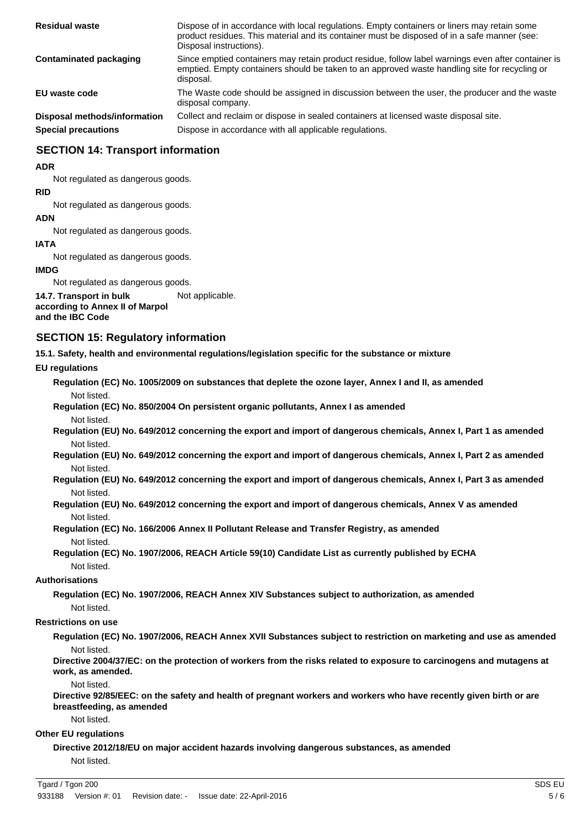| <b>Residual waste</b>        | Dispose of in accordance with local regulations. Empty containers or liners may retain some<br>product residues. This material and its container must be disposed of in a safe manner (see:<br>Disposal instructions). |
|------------------------------|------------------------------------------------------------------------------------------------------------------------------------------------------------------------------------------------------------------------|
| Contaminated packaging       | Since emptied containers may retain product residue, follow label warnings even after container is<br>emptied. Empty containers should be taken to an approved waste handling site for recycling or<br>disposal.       |
| EU waste code                | The Waste code should be assigned in discussion between the user, the producer and the waste<br>disposal company.                                                                                                      |
| Disposal methods/information | Collect and reclaim or dispose in sealed containers at licensed waste disposal site.                                                                                                                                   |
| <b>Special precautions</b>   | Dispose in accordance with all applicable regulations.                                                                                                                                                                 |

## **SECTION 14: Transport information**

#### **ADR**

Not regulated as dangerous goods.

#### **RID**

Not regulated as dangerous goods.

#### **ADN**

Not regulated as dangerous goods.

#### **IATA**

Not regulated as dangerous goods.

#### **IMDG**

Not regulated as dangerous goods.

**14.7. Transport in bulk** Not applicable. **according to Annex II of Marpol**

### **and the IBC Code**

### **SECTION 15: Regulatory information**

**15.1. Safety, health and environmental regulations/legislation specific for the substance or mixture**

#### **EU regulations**

**Regulation (EC) No. 1005/2009 on substances that deplete the ozone layer, Annex I and II, as amended** Not listed.

**Regulation (EC) No. 850/2004 On persistent organic pollutants, Annex I as amended** Not listed.

**Regulation (EU) No. 649/2012 concerning the export and import of dangerous chemicals, Annex I, Part 1 as amended** Not listed.

**Regulation (EU) No. 649/2012 concerning the export and import of dangerous chemicals, Annex I, Part 2 as amended** Not listed.

**Regulation (EU) No. 649/2012 concerning the export and import of dangerous chemicals, Annex I, Part 3 as amended** Not listed.

**Regulation (EU) No. 649/2012 concerning the export and import of dangerous chemicals, Annex V as amended** Not listed.

**Regulation (EC) No. 166/2006 Annex II Pollutant Release and Transfer Registry, as amended** Not listed.

**Regulation (EC) No. 1907/2006, REACH Article 59(10) Candidate List as currently published by ECHA** Not listed.

#### **Authorisations**

**Regulation (EC) No. 1907/2006, REACH Annex XIV Substances subject to authorization, as amended** Not listed.

#### **Restrictions on use**

**Regulation (EC) No. 1907/2006, REACH Annex XVII Substances subject to restriction on marketing and use as amended** Not listed.

**Directive 2004/37/EC: on the protection of workers from the risks related to exposure to carcinogens and mutagens at work, as amended.**

Not listed.

**Directive 92/85/EEC: on the safety and health of pregnant workers and workers who have recently given birth or are breastfeeding, as amended**

Not listed.

#### **Other EU regulations**

**Directive 2012/18/EU on major accident hazards involving dangerous substances, as amended** Not listed.